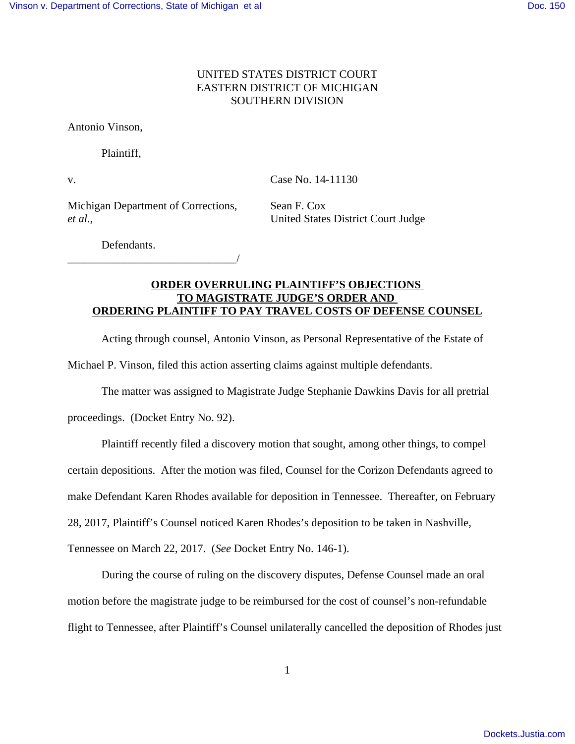#### UNITED STATES DISTRICT COURT EASTERN DISTRICT OF MICHIGAN SOUTHERN DIVISION

Antonio Vinson,

Plaintiff,

v. Case No. 14-11130

Michigan Department of Corrections, Sean F. Cox *et al.*, United States District Court Judge

\_\_\_\_\_\_\_\_\_\_\_\_\_\_\_\_\_\_\_\_\_\_\_\_\_\_\_\_\_\_/

Defendants.

### **ORDER OVERRULING PLAINTIFF'S OBJECTIONS TO MAGISTRATE JUDGE'S ORDER AND ORDERING PLAINTIFF TO PAY TRAVEL COSTS OF DEFENSE COUNSEL**

Acting through counsel, Antonio Vinson, as Personal Representative of the Estate of Michael P. Vinson, filed this action asserting claims against multiple defendants.

The matter was assigned to Magistrate Judge Stephanie Dawkins Davis for all pretrial

proceedings. (Docket Entry No. 92).

Plaintiff recently filed a discovery motion that sought, among other things, to compel

certain depositions. After the motion was filed, Counsel for the Corizon Defendants agreed to

make Defendant Karen Rhodes available for deposition in Tennessee. Thereafter, on February

28, 2017, Plaintiff's Counsel noticed Karen Rhodes's deposition to be taken in Nashville,

Tennessee on March 22, 2017. (*See* Docket Entry No. 146-1).

During the course of ruling on the discovery disputes, Defense Counsel made an oral motion before the magistrate judge to be reimbursed for the cost of counsel's non-refundable flight to Tennessee, after Plaintiff's Counsel unilaterally cancelled the deposition of Rhodes just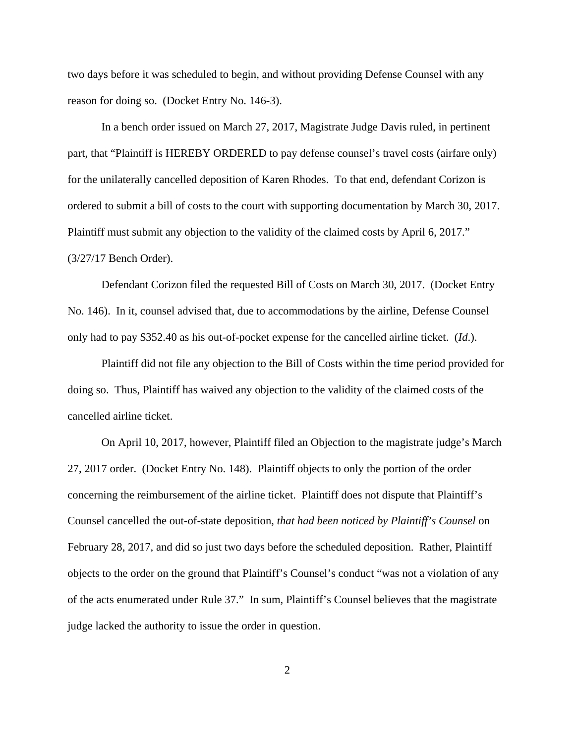two days before it was scheduled to begin, and without providing Defense Counsel with any reason for doing so. (Docket Entry No. 146-3).

In a bench order issued on March 27, 2017, Magistrate Judge Davis ruled, in pertinent part, that "Plaintiff is HEREBY ORDERED to pay defense counsel's travel costs (airfare only) for the unilaterally cancelled deposition of Karen Rhodes. To that end, defendant Corizon is ordered to submit a bill of costs to the court with supporting documentation by March 30, 2017. Plaintiff must submit any objection to the validity of the claimed costs by April 6, 2017." (3/27/17 Bench Order).

Defendant Corizon filed the requested Bill of Costs on March 30, 2017. (Docket Entry No. 146). In it, counsel advised that, due to accommodations by the airline, Defense Counsel only had to pay \$352.40 as his out-of-pocket expense for the cancelled airline ticket. (*Id*.).

Plaintiff did not file any objection to the Bill of Costs within the time period provided for doing so. Thus, Plaintiff has waived any objection to the validity of the claimed costs of the cancelled airline ticket.

On April 10, 2017, however, Plaintiff filed an Objection to the magistrate judge's March 27, 2017 order. (Docket Entry No. 148). Plaintiff objects to only the portion of the order concerning the reimbursement of the airline ticket. Plaintiff does not dispute that Plaintiff's Counsel cancelled the out-of-state deposition, *that had been noticed by Plaintiff's Counsel* on February 28, 2017, and did so just two days before the scheduled deposition. Rather, Plaintiff objects to the order on the ground that Plaintiff's Counsel's conduct "was not a violation of any of the acts enumerated under Rule 37." In sum, Plaintiff's Counsel believes that the magistrate judge lacked the authority to issue the order in question.

2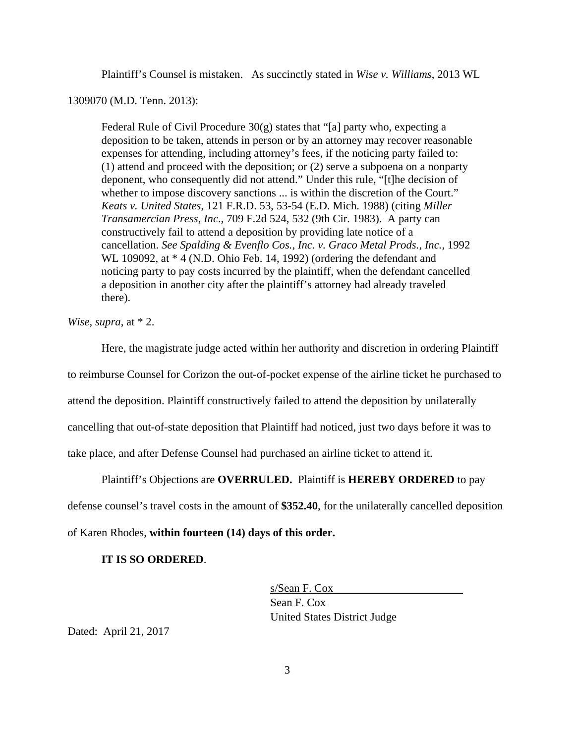Plaintiff's Counsel is mistaken. As succinctly stated in *Wise v. Williams*, 2013 WL

1309070 (M.D. Tenn. 2013):

Federal Rule of Civil Procedure 30(g) states that "[a] party who, expecting a deposition to be taken, attends in person or by an attorney may recover reasonable expenses for attending, including attorney's fees, if the noticing party failed to: (1) attend and proceed with the deposition; or (2) serve a subpoena on a nonparty deponent, who consequently did not attend." Under this rule, "[t]he decision of whether to impose discovery sanctions ... is within the discretion of the Court." *Keats v. United States*, 121 F.R.D. 53, 53-54 (E.D. Mich. 1988) (citing *Miller Transamercian Press, Inc*., 709 F.2d 524, 532 (9th Cir. 1983). A party can constructively fail to attend a deposition by providing late notice of a cancellation. *See Spalding & Evenflo Cos., Inc. v. Graco Metal Prods., Inc., 1992* WL 109092, at \* 4 (N.D. Ohio Feb. 14, 1992) (ordering the defendant and noticing party to pay costs incurred by the plaintiff, when the defendant cancelled a deposition in another city after the plaintiff's attorney had already traveled there).

*Wise, supra*, at \* 2.

Here, the magistrate judge acted within her authority and discretion in ordering Plaintiff to reimburse Counsel for Corizon the out-of-pocket expense of the airline ticket he purchased to attend the deposition. Plaintiff constructively failed to attend the deposition by unilaterally cancelling that out-of-state deposition that Plaintiff had noticed, just two days before it was to take place, and after Defense Counsel had purchased an airline ticket to attend it.

Plaintiff's Objections are **OVERRULED.** Plaintiff is **HEREBY ORDERED** to pay

defense counsel's travel costs in the amount of **\$352.40**, for the unilaterally cancelled deposition

of Karen Rhodes, **within fourteen (14) days of this order.**

#### **IT IS SO ORDERED**.

s/Sean F. Cox Sean F. Cox United States District Judge

Dated: April 21, 2017